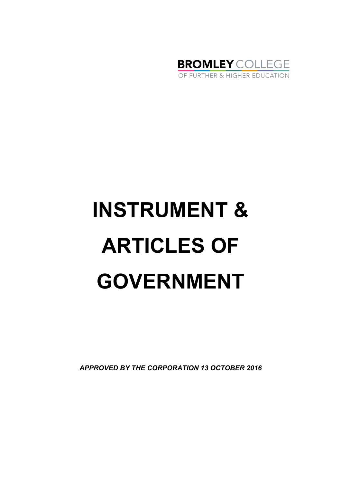

# **INSTRUMENT & ARTICLES OF GOVERNMENT**

*APPROVED BY THE CORPORATION 13 OCTOBER 2016*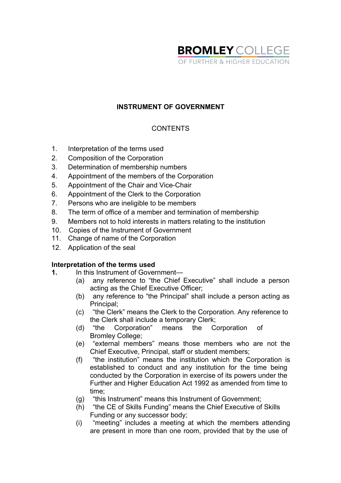

# **INSTRUMENT OF GOVERNMENT**

# **CONTENTS**

- 1. Interpretation of the terms used
- 2. Composition of the Corporation
- 3. Determination of membership numbers
- 4. Appointment of the members of the Corporation
- 5. Appointment of the Chair and Vice-Chair
- 6. Appointment of the Clerk to the Corporation
- 7. Persons who are ineligible to be members
- 8. The term of office of a member and termination of membership
- 9. Members not to hold interests in matters relating to the institution
- 10. Copies of the Instrument of Government
- 11. Change of name of the Corporation
- 12. Application of the seal

#### **Interpretation of the terms used**

- **1.** In this Instrument of Government—
	- (a) any reference to "the Chief Executive" shall include a person acting as the Chief Executive Officer;
	- (b) any reference to "the Principal" shall include a person acting as Principal;
	- (c) "the Clerk" means the Clerk to the Corporation. Any reference to the Clerk shall include a temporary Clerk;<br>(d) "the Corporation" means the C
	- Corporation" means the Corporation of Bromley College;
	- (e) "external members" means those members who are not the Chief Executive, Principal, staff or student members;
	- (f) "the institution" means the institution which the Corporation is established to conduct and any institution for the time being conducted by the Corporation in exercise of its powers under the Further and Higher Education Act 1992 as amended from time to time;
	- (g) "this Instrument" means this Instrument of Government;
	- (h) "the CE of Skills Funding" means the Chief Executive of Skills Funding or any successor body;
	- (i) "meeting" includes a meeting at which the members attending are present in more than one room, provided that by the use of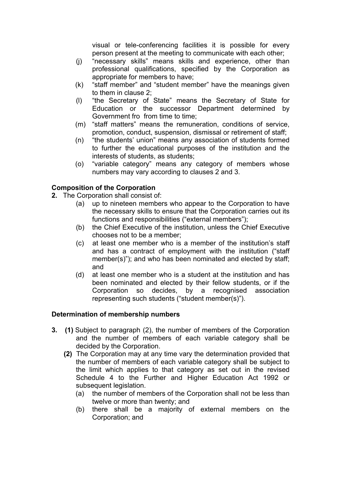visual or tele-conferencing facilities it is possible for every person present at the meeting to communicate with each other;

- (j) "necessary skills" means skills and experience, other than professional qualifications, specified by the Corporation as appropriate for members to have;
- (k) "staff member" and "student member" have the meanings given to them in clause 2;
- (l) "the Secretary of State" means the Secretary of State for Education or the successor Department determined by Government fro from time to time;
- (m) "staff matters" means the remuneration, conditions of service, promotion, conduct, suspension, dismissal or retirement of staff;
- (n) "the students' union" means any association of students formed to further the educational purposes of the institution and the interests of students, as students;
- (o) "variable category" means any category of members whose numbers may vary according to clauses 2 and 3.

# **Composition of the Corporation**

- **2.** The Corporation shall consist of:
	- (a) up to nineteen members who appear to the Corporation to have the necessary skills to ensure that the Corporation carries out its functions and responsibilities ("external members");
	- (b) the Chief Executive of the institution, unless the Chief Executive chooses not to be a member;
	- (c) at least one member who is a member of the institution's staff and has a contract of employment with the institution ("staff member(s)"); and who has been nominated and elected by staff; and
	- (d) at least one member who is a student at the institution and has been nominated and elected by their fellow students, or if the Corporation so decides, by a recognised association representing such students ("student member(s)").

# **Determination of membership numbers**

- **3. (1)** Subject to paragraph (2), the number of members of the Corporation and the number of members of each variable category shall be decided by the Corporation.
	- **(2)** The Corporation may at any time vary the determination provided that the number of members of each variable category shall be subject to the limit which applies to that category as set out in the revised Schedule 4 to the Further and Higher Education Act 1992 or subsequent legislation.
		- (a) the number of members of the Corporation shall not be less than twelve or more than twenty; and
		- (b) there shall be a majority of external members on the Corporation; and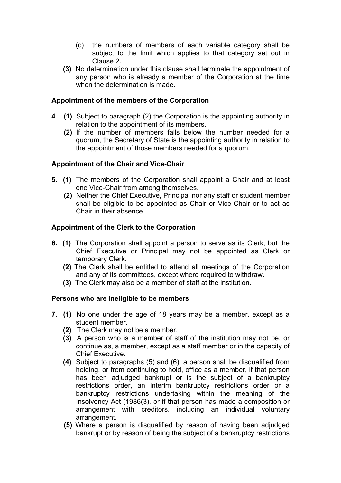- (c) the numbers of members of each variable category shall be subject to the limit which applies to that category set out in Clause 2.
- **(3)** No determination under this clause shall terminate the appointment of any person who is already a member of the Corporation at the time when the determination is made.

# **Appointment of the members of the Corporation**

- **4. (1)** Subject to paragraph (2) the Corporation is the appointing authority in relation to the appointment of its members.
	- **(2)** If the number of members falls below the number needed for a quorum, the Secretary of State is the appointing authority in relation to the appointment of those members needed for a quorum.

# **Appointment of the Chair and Vice-Chair**

- **5. (1)** The members of the Corporation shall appoint a Chair and at least one Vice-Chair from among themselves.
	- **(2)** Neither the Chief Executive, Principal nor any staff or student member shall be eligible to be appointed as Chair or Vice-Chair or to act as Chair in their absence.

# **Appointment of the Clerk to the Corporation**

- **6. (1)** The Corporation shall appoint a person to serve as its Clerk, but the Chief Executive or Principal may not be appointed as Clerk or temporary Clerk.
	- **(2)** The Clerk shall be entitled to attend all meetings of the Corporation and any of its committees, except where required to withdraw.
	- **(3)** The Clerk may also be a member of staff at the institution.

#### **Persons who are ineligible to be members**

- **7. (1)** No one under the age of 18 years may be a member, except as a student member.
	- **(2)** The Clerk may not be a member.
	- **(3)** A person who is a member of staff of the institution may not be, or continue as, a member, except as a staff member or in the capacity of Chief Executive.
	- **(4)** Subject to paragraphs (5) and (6), a person shall be disqualified from holding, or from continuing to hold, office as a member, if that person has been adjudged bankrupt or is the subject of a bankruptcy restrictions order, an interim bankruptcy restrictions order or a bankruptcy restrictions undertaking within the meaning of the Insolvency Act (1986(3), or if that person has made a composition or arrangement with creditors, including an individual voluntary arrangement.
	- **(5)** Where a person is disqualified by reason of having been adjudged bankrupt or by reason of being the subject of a bankruptcy restrictions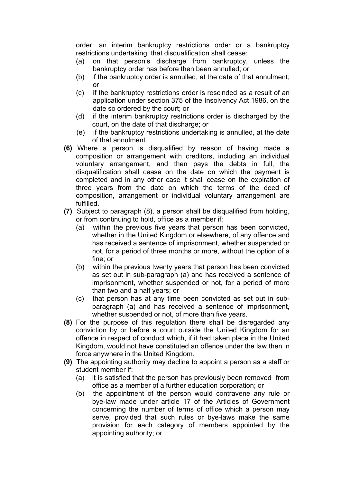order, an interim bankruptcy restrictions order or a bankruptcy restrictions undertaking, that disqualification shall cease:

- (a) on that person's discharge from bankruptcy, unless the bankruptcy order has before then been annulled; or
- (b) if the bankruptcy order is annulled, at the date of that annulment; or
- (c) if the bankruptcy restrictions order is rescinded as a result of an application under section 375 of the Insolvency Act 1986, on the date so ordered by the court; or
- (d) if the interim bankruptcy restrictions order is discharged by the court, on the date of that discharge; or
- (e) if the bankruptcy restrictions undertaking is annulled, at the date of that annulment.
- **(6)** Where a person is disqualified by reason of having made a composition or arrangement with creditors, including an individual voluntary arrangement, and then pays the debts in full, the disqualification shall cease on the date on which the payment is completed and in any other case it shall cease on the expiration of three years from the date on which the terms of the deed of composition, arrangement or individual voluntary arrangement are fulfilled.
- **(7)** Subject to paragraph (8), a person shall be disqualified from holding, or from continuing to hold, office as a member if:
	- (a) within the previous five years that person has been convicted, whether in the United Kingdom or elsewhere, of any offence and has received a sentence of imprisonment, whether suspended or not, for a period of three months or more, without the option of a fine; or
	- (b) within the previous twenty years that person has been convicted as set out in sub-paragraph (a) and has received a sentence of imprisonment, whether suspended or not, for a period of more than two and a half years; or
	- (c) that person has at any time been convicted as set out in subparagraph (a) and has received a sentence of imprisonment, whether suspended or not, of more than five years.
- **(8)** For the purpose of this regulation there shall be disregarded any conviction by or before a court outside the United Kingdom for an offence in respect of conduct which, if it had taken place in the United Kingdom, would not have constituted an offence under the law then in force anywhere in the United Kingdom.
- **(9)** The appointing authority may decline to appoint a person as a staff or student member if:
	- (a) it is satisfied that the person has previously been removed from office as a member of a further education corporation; or
	- (b) the appointment of the person would contravene any rule or bye-law made under article 17 of the Articles of Government concerning the number of terms of office which a person may serve, provided that such rules or bye-laws make the same provision for each category of members appointed by the appointing authority; or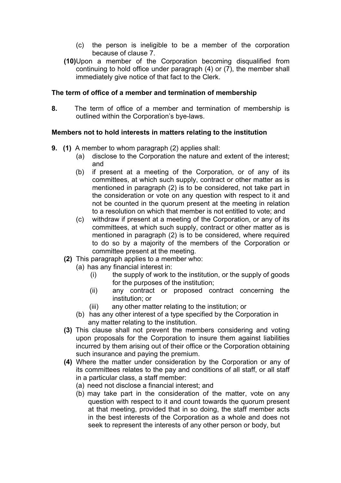- (c) the person is ineligible to be a member of the corporation because of clause 7.
- **(10)**Upon a member of the Corporation becoming disqualified from continuing to hold office under paragraph (4) or (7), the member shall immediately give notice of that fact to the Clerk.

#### **The term of office of a member and termination of membership**

**8.** The term of office of a member and termination of membership is outlined within the Corporation's bye-laws.

# **Members not to hold interests in matters relating to the institution**

- **9. (1)** A member to whom paragraph (2) applies shall:
	- (a) disclose to the Corporation the nature and extent of the interest; and
	- (b) if present at a meeting of the Corporation, or of any of its committees, at which such supply, contract or other matter as is mentioned in paragraph (2) is to be considered, not take part in the consideration or vote on any question with respect to it and not be counted in the quorum present at the meeting in relation to a resolution on which that member is not entitled to vote; and
	- (c) withdraw if present at a meeting of the Corporation, or any of its committees, at which such supply, contract or other matter as is mentioned in paragraph (2) is to be considered, where required to do so by a majority of the members of the Corporation or committee present at the meeting.
	- **(2)** This paragraph applies to a member who:
		- (a) has any financial interest in:
			- (i) the supply of work to the institution, or the supply of goods for the purposes of the institution;
			- (ii) any contract or proposed contract concerning the institution; or
			- (iii) any other matter relating to the institution; or
		- (b) has any other interest of a type specified by the Corporation in any matter relating to the institution.
	- **(3)** This clause shall not prevent the members considering and voting upon proposals for the Corporation to insure them against liabilities incurred by them arising out of their office or the Corporation obtaining such insurance and paying the premium.
	- **(4)** Where the matter under consideration by the Corporation or any of its committees relates to the pay and conditions of all staff, or all staff in a particular class, a staff member:
		- (a) need not disclose a financial interest; and
		- (b) may take part in the consideration of the matter, vote on any question with respect to it and count towards the quorum present at that meeting, provided that in so doing, the staff member acts in the best interests of the Corporation as a whole and does not seek to represent the interests of any other person or body, but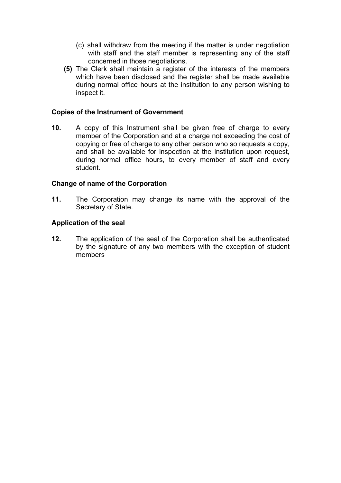- (c) shall withdraw from the meeting if the matter is under negotiation with staff and the staff member is representing any of the staff concerned in those negotiations.
- **(5)** The Clerk shall maintain a register of the interests of the members which have been disclosed and the register shall be made available during normal office hours at the institution to any person wishing to inspect it.

#### **Copies of the Instrument of Government**

**10.** A copy of this Instrument shall be given free of charge to every member of the Corporation and at a charge not exceeding the cost of copying or free of charge to any other person who so requests a copy, and shall be available for inspection at the institution upon request, during normal office hours, to every member of staff and every student.

#### **Change of name of the Corporation**

**11.** The Corporation may change its name with the approval of the Secretary of State.

#### **Application of the seal**

**12.** The application of the seal of the Corporation shall be authenticated by the signature of any two members with the exception of student members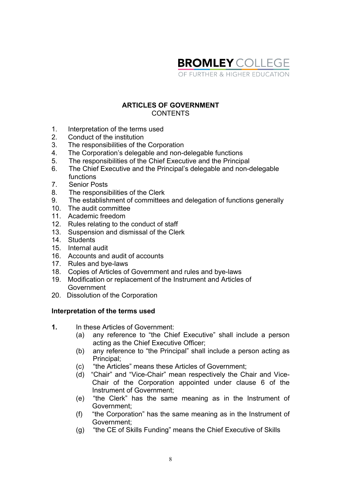

#### **ARTICLES OF GOVERNMENT CONTENTS**

- 1. Interpretation of the terms used
- 2. Conduct of the institution
- 3. The responsibilities of the Corporation
- 4. The Corporation's delegable and non-delegable functions
- 5. The responsibilities of the Chief Executive and the Principal
- 6. The Chief Executive and the Principal's delegable and non-delegable functions
- 7. Senior Posts
- 8. The responsibilities of the Clerk
- 9. The establishment of committees and delegation of functions generally
- 10. The audit committee
- 11. Academic freedom
- 12. Rules relating to the conduct of staff
- 13. Suspension and dismissal of the Clerk
- 14. Students
- 15. Internal audit
- 16. Accounts and audit of accounts
- 17. Rules and bye-laws
- 18. Copies of Articles of Government and rules and bye-laws
- 19. Modification or replacement of the Instrument and Articles of Government
- 20. Dissolution of the Corporation

#### **Interpretation of the terms used**

- **1.** In these Articles of Government:
	- (a) any reference to "the Chief Executive" shall include a person acting as the Chief Executive Officer;
	- (b) any reference to "the Principal" shall include a person acting as Principal;
	- (c) "the Articles" means these Articles of Government;
	- (d) "Chair" and "Vice-Chair" mean respectively the Chair and Vice-Chair of the Corporation appointed under clause 6 of the Instrument of Government;
	- (e) "the Clerk" has the same meaning as in the Instrument of Government;
	- (f) "the Corporation" has the same meaning as in the Instrument of Government;
	- (g) "the CE of Skills Funding" means the Chief Executive of Skills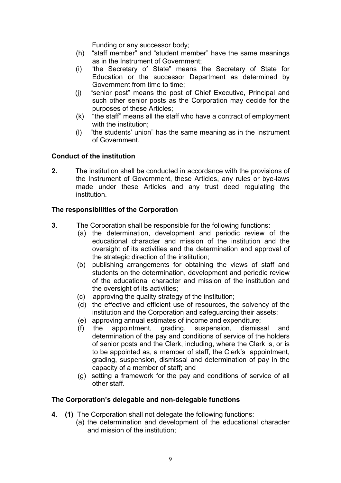Funding or any successor body;

- (h) "staff member" and "student member" have the same meanings as in the Instrument of Government;
- (i) "the Secretary of State" means the Secretary of State for Education or the successor Department as determined by Government from time to time;
- (j) "senior post" means the post of Chief Executive, Principal and such other senior posts as the Corporation may decide for the purposes of these Articles;
- (k) "the staff" means all the staff who have a contract of employment with the institution;
- (l) "the students' union" has the same meaning as in the Instrument of Government.

# **Conduct of the institution**

**2.** The institution shall be conducted in accordance with the provisions of the Instrument of Government, these Articles, any rules or bye-laws made under these Articles and any trust deed regulating the institution.

# **The responsibilities of the Corporation**

- **3.** The Corporation shall be responsible for the following functions:
	- (a) the determination, development and periodic review of the educational character and mission of the institution and the oversight of its activities and the determination and approval of the strategic direction of the institution;
	- (b) publishing arrangements for obtaining the views of staff and students on the determination, development and periodic review of the educational character and mission of the institution and the oversight of its activities;
	- (c) approving the quality strategy of the institution;
	- (d) the effective and efficient use of resources, the solvency of the institution and the Corporation and safeguarding their assets;
	- (e) approving annual estimates of income and expenditure;
	- (f) the appointment, grading, suspension, dismissal and determination of the pay and conditions of service of the holders of senior posts and the Clerk, including, where the Clerk is, or is to be appointed as, a member of staff, the Clerk's appointment, grading, suspension, dismissal and determination of pay in the capacity of a member of staff; and
	- (g) setting a framework for the pay and conditions of service of all other staff.

# **The Corporation's delegable and non-delegable functions**

- **4. (1)** The Corporation shall not delegate the following functions:
	- (a) the determination and development of the educational character and mission of the institution;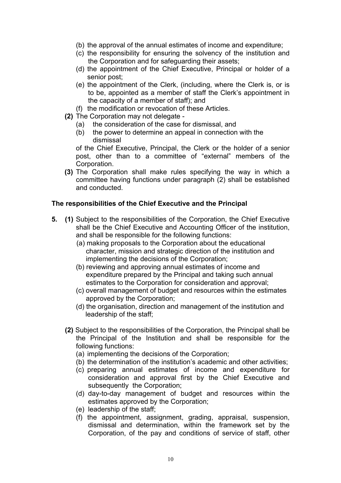- (b) the approval of the annual estimates of income and expenditure;
- (c) the responsibility for ensuring the solvency of the institution and the Corporation and for safeguarding their assets;
- (d) the appointment of the Chief Executive, Principal or holder of a senior post;
- (e) the appointment of the Clerk, (including, where the Clerk is, or is to be, appointed as a member of staff the Clerk's appointment in the capacity of a member of staff); and
- (f) the modification or revocation of these Articles.
- **(2)** The Corporation may not delegate
	- (a) the consideration of the case for dismissal, and
	- (b) the power to determine an appeal in connection with the dismissal

of the Chief Executive, Principal, the Clerk or the holder of a senior post, other than to a committee of "external" members of the Corporation.

**(3)** The Corporation shall make rules specifying the way in which a committee having functions under paragraph (2) shall be established and conducted.

#### **The responsibilities of the Chief Executive and the Principal**

- **5. (1)** Subject to the responsibilities of the Corporation, the Chief Executive shall be the Chief Executive and Accounting Officer of the institution, and shall be responsible for the following functions:
	- (a) making proposals to the Corporation about the educational character, mission and strategic direction of the institution and implementing the decisions of the Corporation;
	- (b) reviewing and approving annual estimates of income and expenditure prepared by the Principal and taking such annual estimates to the Corporation for consideration and approval;
	- (c) overall management of budget and resources within the estimates approved by the Corporation;
	- (d) the organisation, direction and management of the institution and leadership of the staff;
	- **(2)** Subject to the responsibilities of the Corporation, the Principal shall be the Principal of the Institution and shall be responsible for the following functions:
		- (a) implementing the decisions of the Corporation;
		- (b) the determination of the institution's academic and other activities;
		- (c) preparing annual estimates of income and expenditure for consideration and approval first by the Chief Executive and subsequently the Corporation;
		- (d) day-to-day management of budget and resources within the estimates approved by the Corporation;
		- (e) leadership of the staff;
		- (f) the appointment, assignment, grading, appraisal, suspension, dismissal and determination, within the framework set by the Corporation, of the pay and conditions of service of staff, other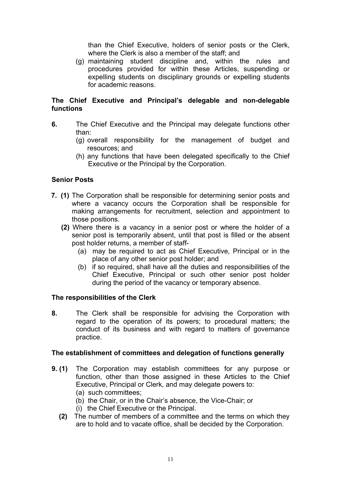than the Chief Executive, holders of senior posts or the Clerk, where the Clerk is also a member of the staff; and

 (g) maintaining student discipline and, within the rules and procedures provided for within these Articles, suspending or expelling students on disciplinary grounds or expelling students for academic reasons.

# **The Chief Executive and Principal's delegable and non-delegable functions**

- **6.** The Chief Executive and the Principal may delegate functions other than:
	- (g) overall responsibility for the management of budget and resources; and
	- (h) any functions that have been delegated specifically to the Chief Executive or the Principal by the Corporation.

# **Senior Posts**

- **7. (1)** The Corporation shall be responsible for determining senior posts and where a vacancy occurs the Corporation shall be responsible for making arrangements for recruitment, selection and appointment to those positions.
	- **(2)** Where there is a vacancy in a senior post or where the holder of a senior post is temporarily absent, until that post is filled or the absent post holder returns, a member of staff-
		- (a) may be required to act as Chief Executive, Principal or in the place of any other senior post holder; and
		- (b) if so required, shall have all the duties and responsibilities of the Chief Executive, Principal or such other senior post holder during the period of the vacancy or temporary absence.

# **The responsibilities of the Clerk**

**8.** The Clerk shall be responsible for advising the Corporation with regard to the operation of its powers; to procedural matters; the conduct of its business and with regard to matters of governance practice.

#### **The establishment of committees and delegation of functions generally**

- **9. (1)** The Corporation may establish committees for any purpose or function, other than those assigned in these Articles to the Chief Executive, Principal or Clerk, and may delegate powers to:
	- (a) such committees;
	- (b) the Chair, or in the Chair's absence, the Vice-Chair; or
	- (i) the Chief Executive or the Principal.
	- **(2)** The number of members of a committee and the terms on which they are to hold and to vacate office, shall be decided by the Corporation.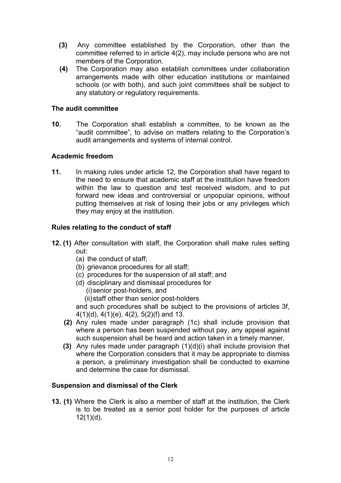- **(3)** Any committee established by the Corporation, other than the committee referred to in article 4(2), may include persons who are not members of the Corporation.
- **(4)** The Corporation may also establish committees under collaboration arrangements made with other education institutions or maintained schools (or with both), and such joint committees shall be subject to any statutory or regulatory requirements.

#### **The audit committee**

**10.** The Corporation shall establish a committee, to be known as the "audit committee", to advise on matters relating to the Corporation's audit arrangements and systems of internal control.

# **Academic freedom**

**11.** In making rules under article 12, the Corporation shall have regard to the need to ensure that academic staff at the institution have freedom within the law to question and test received wisdom, and to put forward new ideas and controversial or unpopular opinions, without putting themselves at risk of losing their jobs or any privileges which they may enjoy at the institution.

# **Rules relating to the conduct of staff**

- **12. (1)** After consultation with staff, the Corporation shall make rules setting out:
	- (a) the conduct of staff;
	- (b) grievance procedures for all staff;
	- (c) procedures for the suspension of all staff; and
	- (d) disciplinary and dismissal procedures for
		- (i)senior post-holders, and
		- (ii)staff other than senior post-holders

and such procedures shall be subject to the provisions of articles 3f, 4(1)(d), 4(1)(e), 4(2), 5(2)(f) and 13.

- **(2)** Any rules made under paragraph (1c) shall include provision that where a person has been suspended without pay, any appeal against such suspension shall be heard and action taken in a timely manner.
- **(3)** Any rules made under paragraph (1)(d)(i) shall include provision that where the Corporation considers that it may be appropriate to dismiss a person, a preliminary investigation shall be conducted to examine and determine the case for dismissal.

#### **Suspension and dismissal of the Clerk**

**13. (1)** Where the Clerk is also a member of staff at the institution, the Clerk is to be treated as a senior post holder for the purposes of article  $12(1)(d)$ .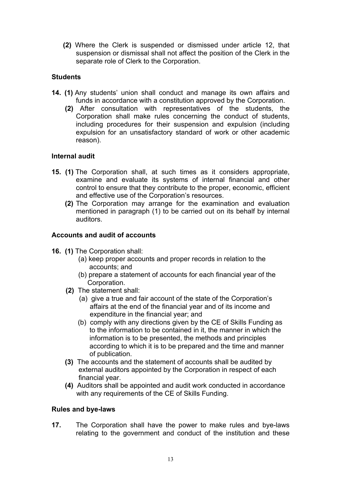**(2)** Where the Clerk is suspended or dismissed under article 12, that suspension or dismissal shall not affect the position of the Clerk in the separate role of Clerk to the Corporation.

# **Students**

- **14. (1)** Any students' union shall conduct and manage its own affairs and funds in accordance with a constitution approved by the Corporation.
	- **(2)** After consultation with representatives of the students, the Corporation shall make rules concerning the conduct of students, including procedures for their suspension and expulsion (including expulsion for an unsatisfactory standard of work or other academic reason).

# **Internal audit**

- **15. (1)** The Corporation shall, at such times as it considers appropriate, examine and evaluate its systems of internal financial and other control to ensure that they contribute to the proper, economic, efficient and effective use of the Corporation's resources.
	- **(2)** The Corporation may arrange for the examination and evaluation mentioned in paragraph (1) to be carried out on its behalf by internal auditors.

# **Accounts and audit of accounts**

- **16. (1)** The Corporation shall:
	- (a) keep proper accounts and proper records in relation to the accounts; and
	- (b) prepare a statement of accounts for each financial year of the Corporation.
	- **(2)** The statement shall:
		- (a) give a true and fair account of the state of the Corporation's affairs at the end of the financial year and of its income and expenditure in the financial year; and
		- (b) comply with any directions given by the CE of Skills Funding as to the information to be contained in it, the manner in which the information is to be presented, the methods and principles according to which it is to be prepared and the time and manner of publication.
	- **(3)** The accounts and the statement of accounts shall be audited by external auditors appointed by the Corporation in respect of each financial year.
	- **(4)** Auditors shall be appointed and audit work conducted in accordance with any requirements of the CE of Skills Funding.

# **Rules and bye-laws**

**17.** The Corporation shall have the power to make rules and bye-laws relating to the government and conduct of the institution and these